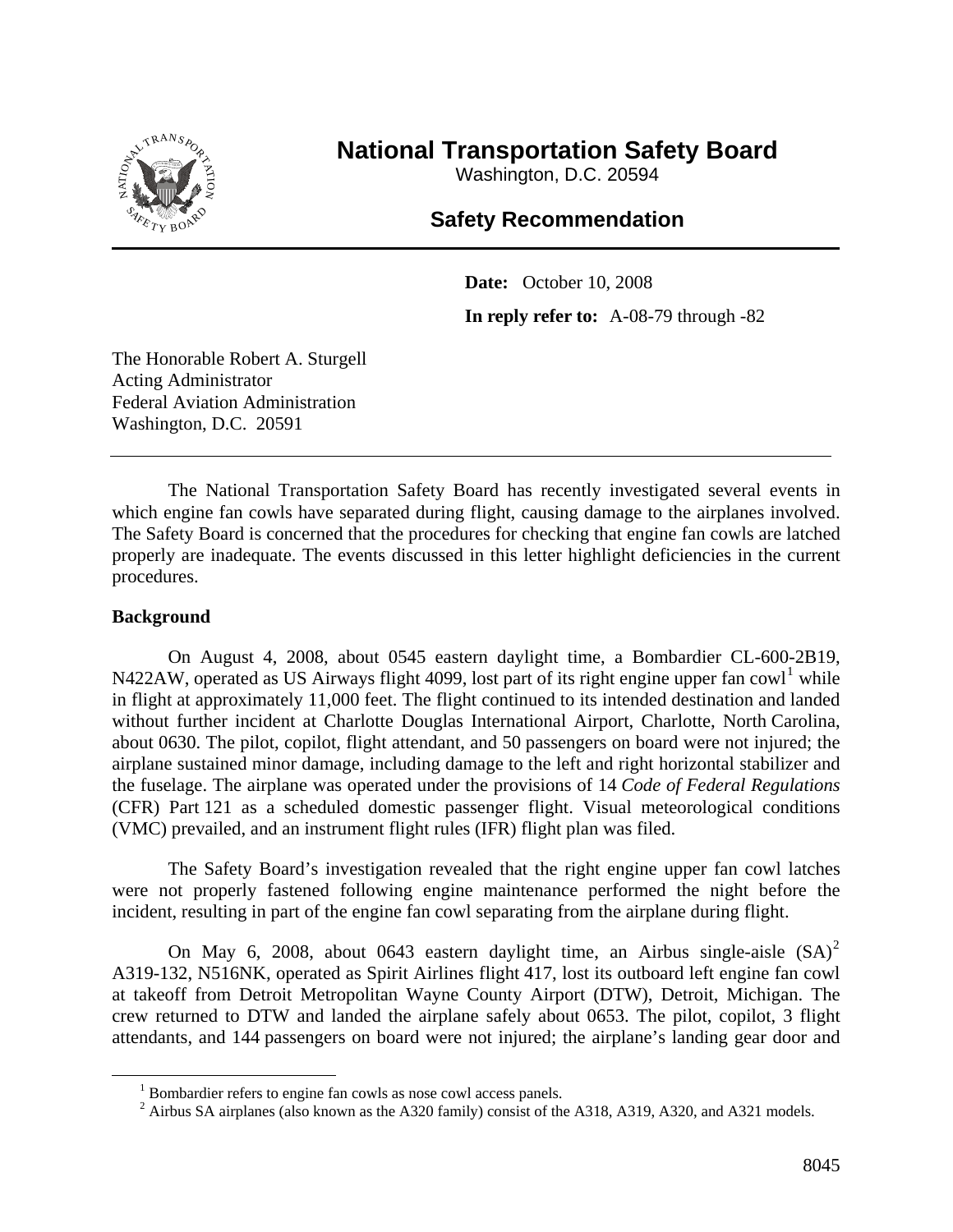

## **National Transportation Safety Board**

Washington, D.C. 20594

## **Safety Recommendation**

**Date:** October 10, 2008 **In reply refer to:** A-08-79 through -82

The Honorable Robert A. Sturgell Acting Administrator Federal Aviation Administration Washington, D.C. 20591

The National Transportation Safety Board has recently investigated several events in which engine fan cowls have separated during flight, causing damage to the airplanes involved. The Safety Board is concerned that the procedures for checking that engine fan cowls are latched properly are inadequate. The events discussed in this letter highlight deficiencies in the current procedures.

## **Background**

On August 4, 2008, about 0545 eastern daylight time, a Bombardier CL-600-2B19, N422AW, operated as US Airways flight 4099, lost part of its right engine upper fan cowl<sup>[1](#page-0-0)</sup> while in flight at approximately 11,000 feet. The flight continued to its intended destination and landed without further incident at Charlotte Douglas International Airport, Charlotte, North Carolina, about 0630. The pilot, copilot, flight attendant, and 50 passengers on board were not injured; the airplane sustained minor damage, including damage to the left and right horizontal stabilizer and the fuselage. The airplane was operated under the provisions of 14 *Code of Federal Regulations* (CFR) Part 121 as a scheduled domestic passenger flight. Visual meteorological conditions (VMC) prevailed, and an instrument flight rules (IFR) flight plan was filed.

The Safety Board's investigation revealed that the right engine upper fan cowl latches were not properly fastened following engine maintenance performed the night before the incident, resulting in part of the engine fan cowl separating from the airplane during flight.

On May 6, [2](#page-0-1)008, about 0643 eastern daylight time, an Airbus single-aisle  $(SA)^2$ A319-132, N516NK, operated as Spirit Airlines flight 417, lost its outboard left engine fan cowl at takeoff from Detroit Metropolitan Wayne County Airport (DTW), Detroit, Michigan. The crew returned to DTW and landed the airplane safely about 0653. The pilot, copilot, 3 flight attendants, and 144 passengers on board were not injured; the airplane's landing gear door and

<span id="page-0-1"></span><span id="page-0-0"></span> $\frac{1}{1}$  $1$  Bombardier refers to engine fan cowls as nose cowl access panels.

 $^2$  Airbus SA airplanes (also known as the A320 family) consist of the A318, A319, A320, and A321 models.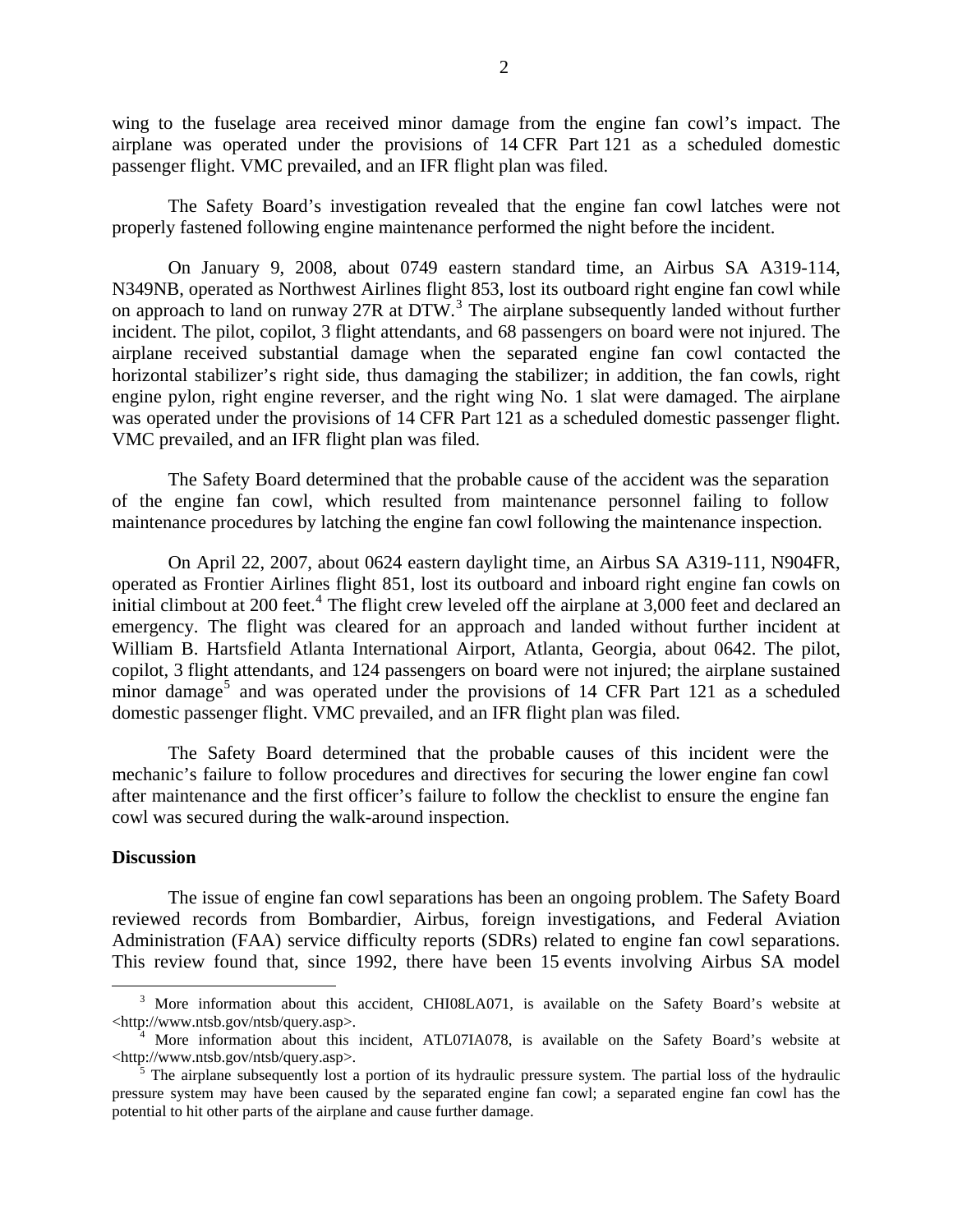wing to the fuselage area received minor damage from the engine fan cowl's impact. The airplane was operated under the provisions of 14 CFR Part 121 as a scheduled domestic passenger flight. VMC prevailed, and an IFR flight plan was filed.

The Safety Board's investigation revealed that the engine fan cowl latches were not properly fastened following engine maintenance performed the night before the incident.

On January 9, 2008, about 0749 eastern standard time, an Airbus SA A319-114, N349NB, operated as Northwest Airlines flight 853, lost its outboard right engine fan cowl while on approach to land on runway 27R at DTW.<sup>[3](#page-1-0)</sup> The airplane subsequently landed without further incident. The pilot, copilot, 3 flight attendants, and 68 passengers on board were not injured. The airplane received substantial damage when the separated engine fan cowl contacted the horizontal stabilizer's right side, thus damaging the stabilizer; in addition, the fan cowls, right engine pylon, right engine reverser, and the right wing No. 1 slat were damaged. The airplane was operated under the provisions of 14 CFR Part 121 as a scheduled domestic passenger flight. VMC prevailed, and an IFR flight plan was filed.

The Safety Board determined that the probable cause of the accident was the separation of the engine fan cowl, which resulted from maintenance personnel failing to follow maintenance procedures by latching the engine fan cowl following the maintenance inspection.

On April 22, 2007, about 0624 eastern daylight time, an Airbus SA A319-111, N904FR, operated as Frontier Airlines flight 851, lost its outboard and inboard right engine fan cowls on initial climbout at 200 feet.<sup>[4](#page-1-1)</sup> The flight crew leveled off the airplane at  $3,000$  feet and declared an emergency. The flight was cleared for an approach and landed without further incident at William B. Hartsfield Atlanta International Airport, Atlanta, Georgia, about 0642. The pilot, copilot, 3 flight attendants, and 124 passengers on board were not injured; the airplane sustained minor damage<sup>[5](#page-1-2)</sup> and was operated under the provisions of 14 CFR Part 121 as a scheduled domestic passenger flight. VMC prevailed, and an IFR flight plan was filed.

The Safety Board determined that the probable causes of this incident were the mechanic's failure to follow procedures and directives for securing the lower engine fan cowl after maintenance and the first officer's failure to follow the checklist to ensure the engine fan cowl was secured during the walk-around inspection.

## **Discussion**

The issue of engine fan cowl separations has been an ongoing problem. The Safety Board reviewed records from Bombardier, Airbus, foreign investigations, and Federal Aviation Administration (FAA) service difficulty reports (SDRs) related to engine fan cowl separations. This review found that, since 1992, there have been 15 events involving Airbus SA model

<span id="page-1-0"></span> <sup>3</sup> <sup>3</sup> More information about this accident, CHI08LA071, is available on the Safety Board's website at <http://www.ntsb.gov/ntsb/query.asp>. 4

<span id="page-1-1"></span><sup>&</sup>lt;sup>4</sup> More information about this incident, ATL07IA078, is available on the Safety Board's website at <http://www.ntsb.gov/ntsb/query.asp>. 5

<span id="page-1-2"></span><sup>&</sup>lt;sup>5</sup> The airplane subsequently lost a portion of its hydraulic pressure system. The partial loss of the hydraulic pressure system may have been caused by the separated engine fan cowl; a separated engine fan cowl has the potential to hit other parts of the airplane and cause further damage.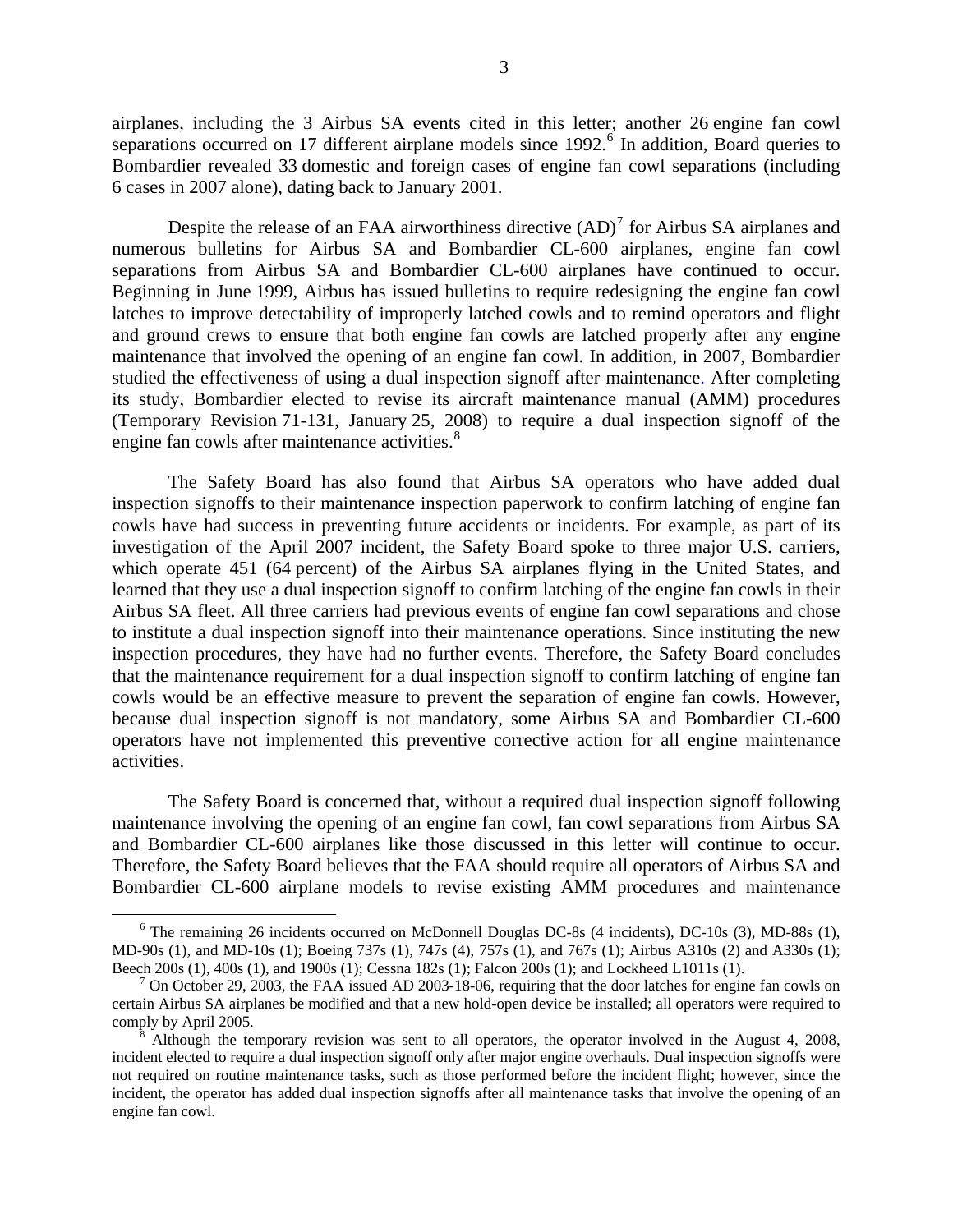airplanes, including the 3 Airbus SA events cited in this letter; another 26 engine fan cowl separations occurred on 17 different airplane models since 1992.<sup>[6](#page-2-0)</sup> In addition, Board queries to Bombardier revealed 33 domestic and foreign cases of engine fan cowl separations (including 6 cases in 2007 alone), dating back to January 2001.

Despite the release of an FAA airworthiness directive  $(AD)^7$  $(AD)^7$  for Airbus SA airplanes and numerous bulletins for Airbus SA and Bombardier CL-600 airplanes, engine fan cowl separations from Airbus SA and Bombardier CL-600 airplanes have continued to occur. Beginning in June 1999, Airbus has issued bulletins to require redesigning the engine fan cowl latches to improve detectability of improperly latched cowls and to remind operators and flight and ground crews to ensure that both engine fan cowls are latched properly after any engine maintenance that involved the opening of an engine fan cowl. In addition, in 2007, Bombardier studied the effectiveness of using a dual inspection signoff after maintenance. After completing its study, Bombardier elected to revise its aircraft maintenance manual (AMM) procedures (Temporary Revision 71-131, January 25, 2008) to require a dual inspection signoff of the engine fan cowls after maintenance activities.<sup>[8](#page-2-2)</sup>

The Safety Board has also found that Airbus SA operators who have added dual inspection signoffs to their maintenance inspection paperwork to confirm latching of engine fan cowls have had success in preventing future accidents or incidents. For example, as part of its investigation of the April 2007 incident, the Safety Board spoke to three major U.S. carriers, which operate 451 (64 percent) of the Airbus SA airplanes flying in the United States, and learned that they use a dual inspection signoff to confirm latching of the engine fan cowls in their Airbus SA fleet. All three carriers had previous events of engine fan cowl separations and chose to institute a dual inspection signoff into their maintenance operations. Since instituting the new inspection procedures, they have had no further events. Therefore, the Safety Board concludes that the maintenance requirement for a dual inspection signoff to confirm latching of engine fan cowls would be an effective measure to prevent the separation of engine fan cowls. However, because dual inspection signoff is not mandatory, some Airbus SA and Bombardier CL-600 operators have not implemented this preventive corrective action for all engine maintenance activities.

The Safety Board is concerned that, without a required dual inspection signoff following maintenance involving the opening of an engine fan cowl, fan cowl separations from Airbus SA and Bombardier CL-600 airplanes like those discussed in this letter will continue to occur. Therefore, the Safety Board believes that the FAA should require all operators of Airbus SA and Bombardier CL-600 airplane models to revise existing AMM procedures and maintenance

<span id="page-2-0"></span> <sup>6</sup> <sup>6</sup> The remaining 26 incidents occurred on McDonnell Douglas DC-8s (4 incidents), DC-10s (3), MD-88s (1), MD-90s (1), and MD-10s (1); Boeing 737s (1), 747s (4), 757s (1), and 767s (1); Airbus A310s (2) and A330s (1); Beech 200s (1), 400s (1), and 1900s (1); Cessna 182s (1); Falcon 200s (1); and Lockheed L1011s (1). 7

<span id="page-2-1"></span><sup>&</sup>lt;sup>7</sup> On October 29, 2003, the FAA issued AD 2003-18-06, requiring that the door latches for engine fan cowls on certain Airbus SA airplanes be modified and that a new hold-open device be installed; all operators were required to comply by April 2005.

<span id="page-2-2"></span>Although the temporary revision was sent to all operators, the operator involved in the August 4, 2008, incident elected to require a dual inspection signoff only after major engine overhauls. Dual inspection signoffs were not required on routine maintenance tasks, such as those performed before the incident flight; however, since the incident, the operator has added dual inspection signoffs after all maintenance tasks that involve the opening of an engine fan cowl.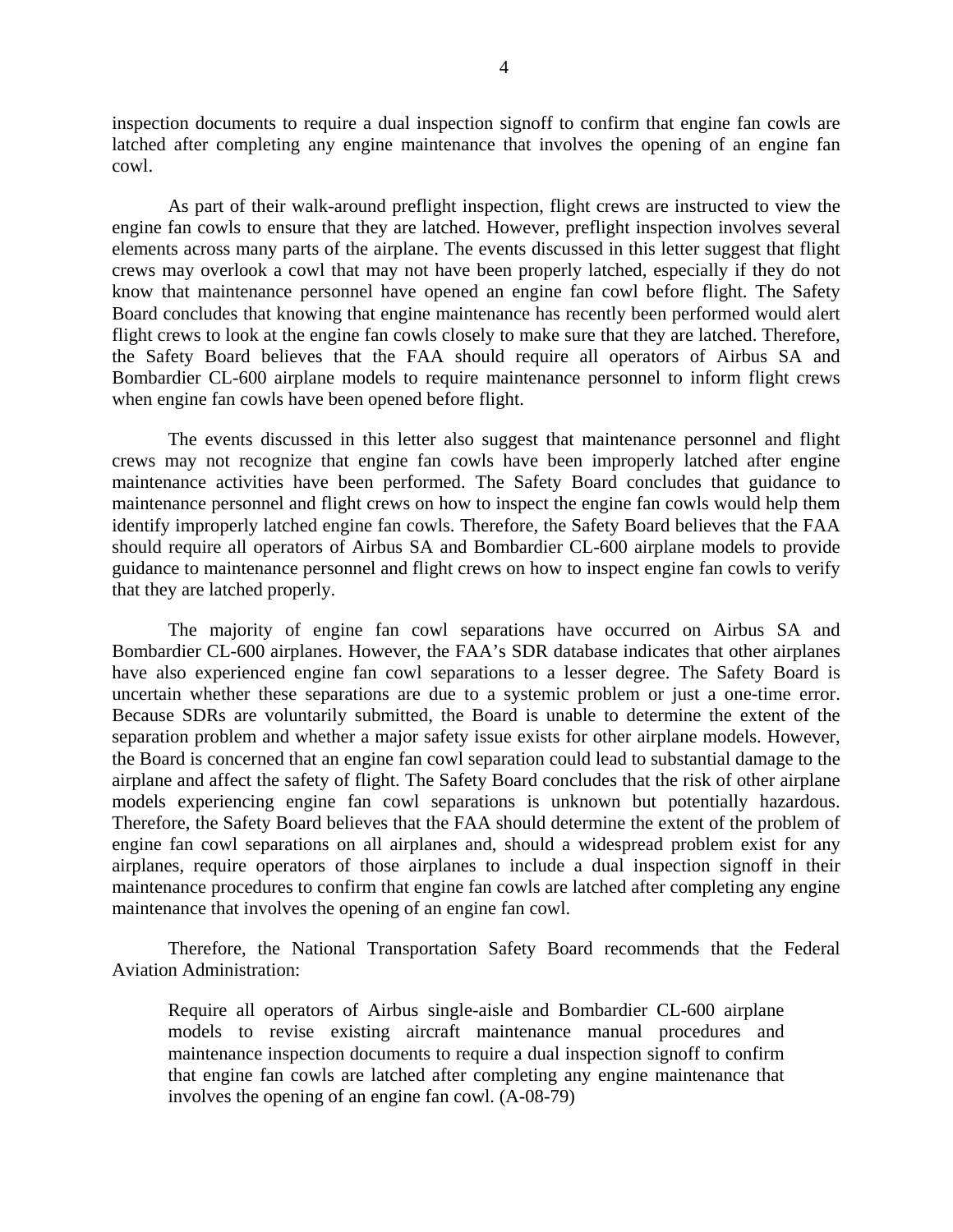inspection documents to require a dual inspection signoff to confirm that engine fan cowls are latched after completing any engine maintenance that involves the opening of an engine fan cowl.

As part of their walk-around preflight inspection, flight crews are instructed to view the engine fan cowls to ensure that they are latched. However, preflight inspection involves several elements across many parts of the airplane. The events discussed in this letter suggest that flight crews may overlook a cowl that may not have been properly latched, especially if they do not know that maintenance personnel have opened an engine fan cowl before flight. The Safety Board concludes that knowing that engine maintenance has recently been performed would alert flight crews to look at the engine fan cowls closely to make sure that they are latched. Therefore, the Safety Board believes that the FAA should require all operators of Airbus SA and Bombardier CL-600 airplane models to require maintenance personnel to inform flight crews when engine fan cowls have been opened before flight.

The events discussed in this letter also suggest that maintenance personnel and flight crews may not recognize that engine fan cowls have been improperly latched after engine maintenance activities have been performed. The Safety Board concludes that guidance to maintenance personnel and flight crews on how to inspect the engine fan cowls would help them identify improperly latched engine fan cowls. Therefore, the Safety Board believes that the FAA should require all operators of Airbus SA and Bombardier CL-600 airplane models to provide guidance to maintenance personnel and flight crews on how to inspect engine fan cowls to verify that they are latched properly.

The majority of engine fan cowl separations have occurred on Airbus SA and Bombardier CL-600 airplanes. However, the FAA's SDR database indicates that other airplanes have also experienced engine fan cowl separations to a lesser degree. The Safety Board is uncertain whether these separations are due to a systemic problem or just a one-time error. Because SDRs are voluntarily submitted, the Board is unable to determine the extent of the separation problem and whether a major safety issue exists for other airplane models. However, the Board is concerned that an engine fan cowl separation could lead to substantial damage to the airplane and affect the safety of flight. The Safety Board concludes that the risk of other airplane models experiencing engine fan cowl separations is unknown but potentially hazardous. Therefore, the Safety Board believes that the FAA should determine the extent of the problem of engine fan cowl separations on all airplanes and, should a widespread problem exist for any airplanes, require operators of those airplanes to include a dual inspection signoff in their maintenance procedures to confirm that engine fan cowls are latched after completing any engine maintenance that involves the opening of an engine fan cowl.

Therefore, the National Transportation Safety Board recommends that the Federal Aviation Administration:

Require all operators of Airbus single-aisle and Bombardier CL-600 airplane models to revise existing aircraft maintenance manual procedures and maintenance inspection documents to require a dual inspection signoff to confirm that engine fan cowls are latched after completing any engine maintenance that involves the opening of an engine fan cowl. (A-08-79)